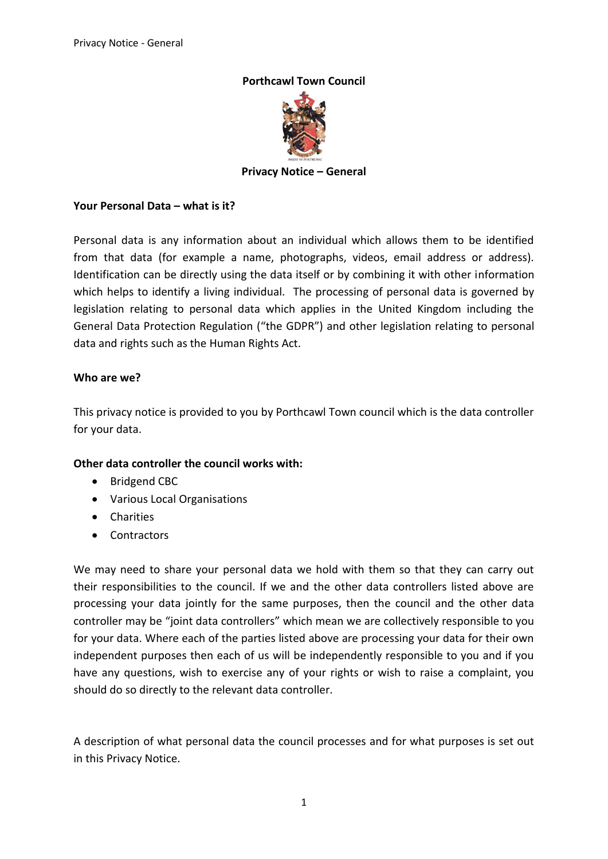# **Porthcawl Town Council**



**Privacy Notice – General** 

#### **Your Personal Data – what is it?**

Personal data is any information about an individual which allows them to be identified from that data (for example a name, photographs, videos, email address or address). Identification can be directly using the data itself or by combining it with other information which helps to identify a living individual. The processing of personal data is governed by legislation relating to personal data which applies in the United Kingdom including the General Data Protection Regulation ("the GDPR") and other legislation relating to personal data and rights such as the Human Rights Act.

#### **Who are we?**

This privacy notice is provided to you by Porthcawl Town council which is the data controller for your data.

# **Other data controller the council works with:**

- Bridgend CBC
- Various Local Organisations
- Charities
- **Contractors**

We may need to share your personal data we hold with them so that they can carry out their responsibilities to the council. If we and the other data controllers listed above are processing your data jointly for the same purposes, then the council and the other data controller may be "joint data controllers" which mean we are collectively responsible to you for your data. Where each of the parties listed above are processing your data for their own independent purposes then each of us will be independently responsible to you and if you have any questions, wish to exercise any of your rights or wish to raise a complaint, you should do so directly to the relevant data controller.

A description of what personal data the council processes and for what purposes is set out in this Privacy Notice.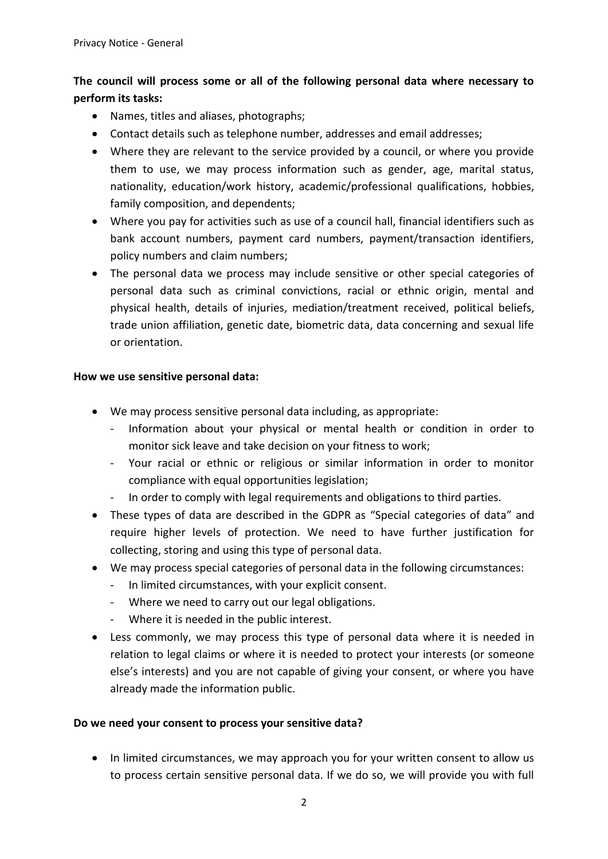# **The council will process some or all of the following personal data where necessary to perform its tasks:**

- Names, titles and aliases, photographs;
- Contact details such as telephone number, addresses and email addresses;
- Where they are relevant to the service provided by a council, or where you provide them to use, we may process information such as gender, age, marital status, nationality, education/work history, academic/professional qualifications, hobbies, family composition, and dependents;
- Where you pay for activities such as use of a council hall, financial identifiers such as bank account numbers, payment card numbers, payment/transaction identifiers, policy numbers and claim numbers;
- The personal data we process may include sensitive or other special categories of personal data such as criminal convictions, racial or ethnic origin, mental and physical health, details of injuries, mediation/treatment received, political beliefs, trade union affiliation, genetic date, biometric data, data concerning and sexual life or orientation.

#### **How we use sensitive personal data:**

- We may process sensitive personal data including, as appropriate:
	- Information about your physical or mental health or condition in order to monitor sick leave and take decision on your fitness to work;
	- Your racial or ethnic or religious or similar information in order to monitor compliance with equal opportunities legislation;
	- In order to comply with legal requirements and obligations to third parties.
- These types of data are described in the GDPR as "Special categories of data" and require higher levels of protection. We need to have further justification for collecting, storing and using this type of personal data.
- We may process special categories of personal data in the following circumstances:
	- In limited circumstances, with your explicit consent.
	- Where we need to carry out our legal obligations.
	- Where it is needed in the public interest.
- Less commonly, we may process this type of personal data where it is needed in relation to legal claims or where it is needed to protect your interests (or someone else's interests) and you are not capable of giving your consent, or where you have already made the information public.

# **Do we need your consent to process your sensitive data?**

• In limited circumstances, we may approach you for your written consent to allow us to process certain sensitive personal data. If we do so, we will provide you with full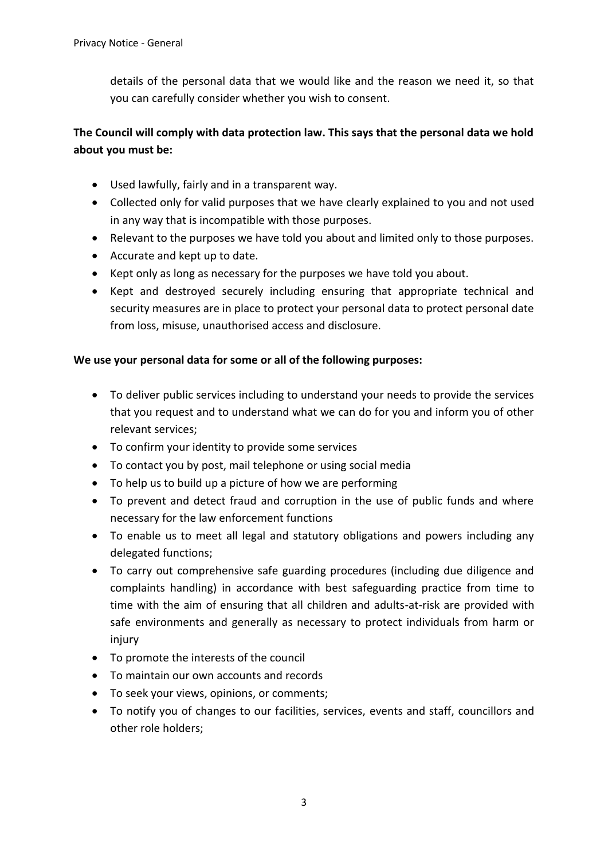details of the personal data that we would like and the reason we need it, so that you can carefully consider whether you wish to consent.

# **The Council will comply with data protection law. This says that the personal data we hold about you must be:**

- Used lawfully, fairly and in a transparent way.
- Collected only for valid purposes that we have clearly explained to you and not used in any way that is incompatible with those purposes.
- Relevant to the purposes we have told you about and limited only to those purposes.
- Accurate and kept up to date.
- Kept only as long as necessary for the purposes we have told you about.
- Kept and destroyed securely including ensuring that appropriate technical and security measures are in place to protect your personal data to protect personal date from loss, misuse, unauthorised access and disclosure.

# **We use your personal data for some or all of the following purposes:**

- To deliver public services including to understand your needs to provide the services that you request and to understand what we can do for you and inform you of other relevant services;
- To confirm your identity to provide some services
- To contact you by post, mail telephone or using social media
- To help us to build up a picture of how we are performing
- To prevent and detect fraud and corruption in the use of public funds and where necessary for the law enforcement functions
- To enable us to meet all legal and statutory obligations and powers including any delegated functions;
- To carry out comprehensive safe guarding procedures (including due diligence and complaints handling) in accordance with best safeguarding practice from time to time with the aim of ensuring that all children and adults-at-risk are provided with safe environments and generally as necessary to protect individuals from harm or injury
- To promote the interests of the council
- To maintain our own accounts and records
- To seek your views, opinions, or comments;
- To notify you of changes to our facilities, services, events and staff, councillors and other role holders;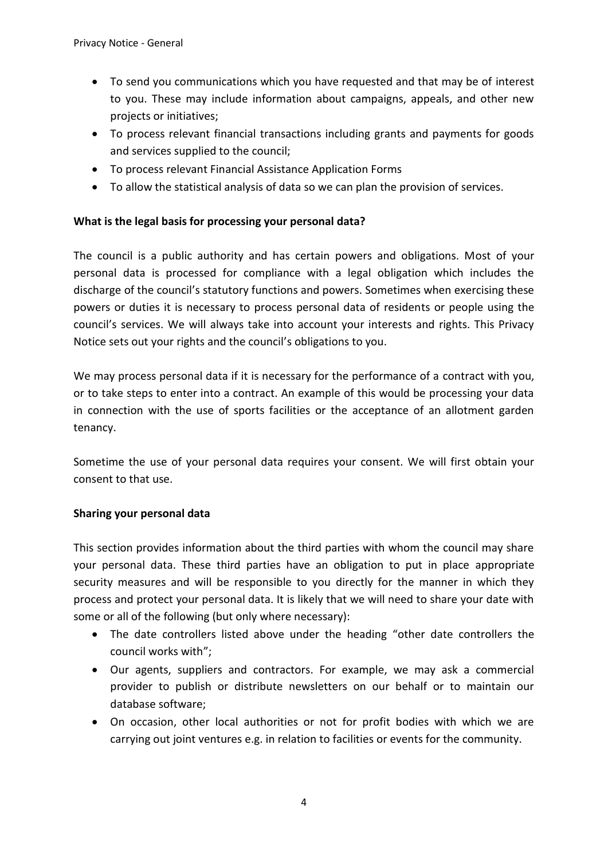- To send you communications which you have requested and that may be of interest to you. These may include information about campaigns, appeals, and other new projects or initiatives;
- To process relevant financial transactions including grants and payments for goods and services supplied to the council;
- To process relevant Financial Assistance Application Forms
- To allow the statistical analysis of data so we can plan the provision of services.

# **What is the legal basis for processing your personal data?**

The council is a public authority and has certain powers and obligations. Most of your personal data is processed for compliance with a legal obligation which includes the discharge of the council's statutory functions and powers. Sometimes when exercising these powers or duties it is necessary to process personal data of residents or people using the council's services. We will always take into account your interests and rights. This Privacy Notice sets out your rights and the council's obligations to you.

We may process personal data if it is necessary for the performance of a contract with you, or to take steps to enter into a contract. An example of this would be processing your data in connection with the use of sports facilities or the acceptance of an allotment garden tenancy.

Sometime the use of your personal data requires your consent. We will first obtain your consent to that use.

# **Sharing your personal data**

This section provides information about the third parties with whom the council may share your personal data. These third parties have an obligation to put in place appropriate security measures and will be responsible to you directly for the manner in which they process and protect your personal data. It is likely that we will need to share your date with some or all of the following (but only where necessary):

- The date controllers listed above under the heading "other date controllers the council works with";
- Our agents, suppliers and contractors. For example, we may ask a commercial provider to publish or distribute newsletters on our behalf or to maintain our database software;
- On occasion, other local authorities or not for profit bodies with which we are carrying out joint ventures e.g. in relation to facilities or events for the community.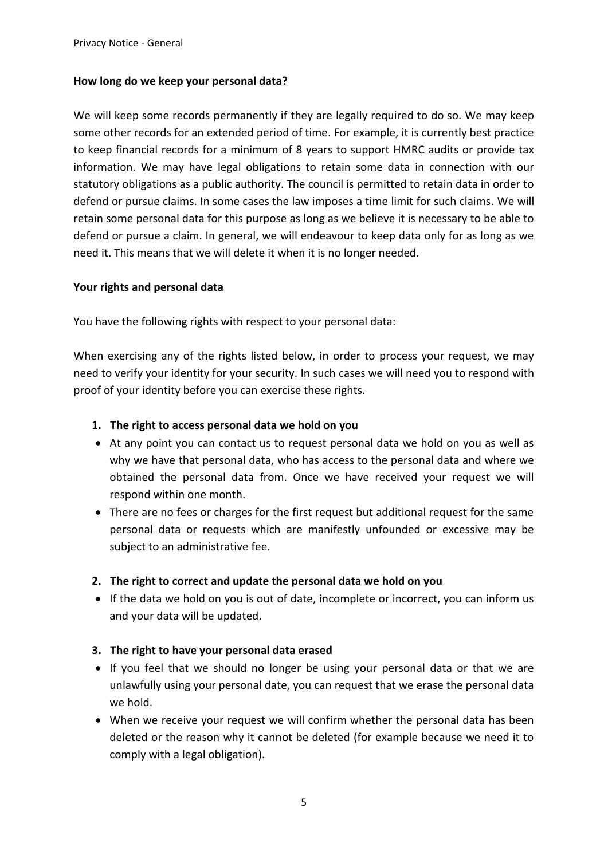#### **How long do we keep your personal data?**

We will keep some records permanently if they are legally required to do so. We may keep some other records for an extended period of time. For example, it is currently best practice to keep financial records for a minimum of 8 years to support HMRC audits or provide tax information. We may have legal obligations to retain some data in connection with our statutory obligations as a public authority. The council is permitted to retain data in order to defend or pursue claims. In some cases the law imposes a time limit for such claims. We will retain some personal data for this purpose as long as we believe it is necessary to be able to defend or pursue a claim. In general, we will endeavour to keep data only for as long as we need it. This means that we will delete it when it is no longer needed.

#### **Your rights and personal data**

You have the following rights with respect to your personal data:

When exercising any of the rights listed below, in order to process your request, we may need to verify your identity for your security. In such cases we will need you to respond with proof of your identity before you can exercise these rights.

#### **1. The right to access personal data we hold on you**

- At any point you can contact us to request personal data we hold on you as well as why we have that personal data, who has access to the personal data and where we obtained the personal data from. Once we have received your request we will respond within one month.
- There are no fees or charges for the first request but additional request for the same personal data or requests which are manifestly unfounded or excessive may be subject to an administrative fee.
- **2. The right to correct and update the personal data we hold on you**
- If the data we hold on you is out of date, incomplete or incorrect, you can inform us and your data will be updated.

# **3. The right to have your personal data erased**

- If you feel that we should no longer be using your personal data or that we are unlawfully using your personal date, you can request that we erase the personal data we hold.
- When we receive your request we will confirm whether the personal data has been deleted or the reason why it cannot be deleted (for example because we need it to comply with a legal obligation).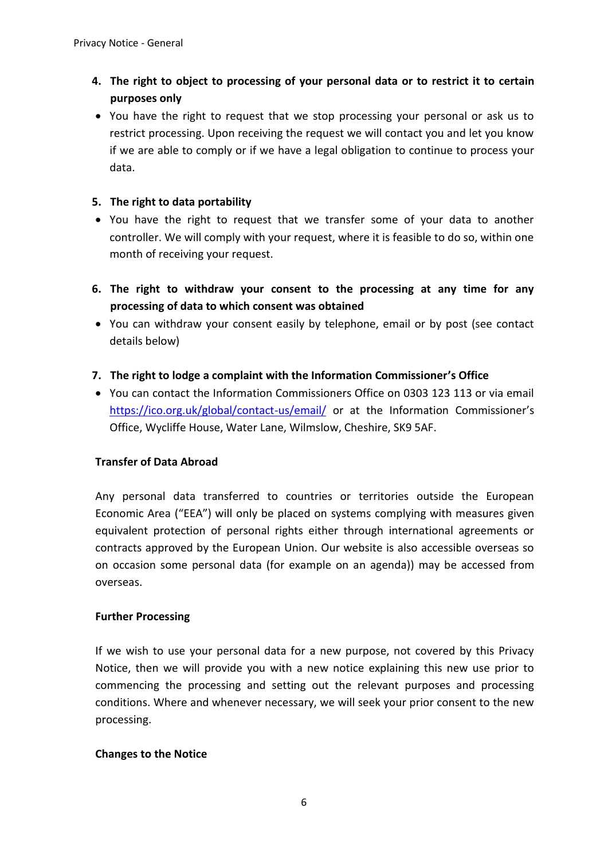# **4. The right to object to processing of your personal data or to restrict it to certain purposes only**

 You have the right to request that we stop processing your personal or ask us to restrict processing. Upon receiving the request we will contact you and let you know if we are able to comply or if we have a legal obligation to continue to process your data.

# **5. The right to data portability**

- You have the right to request that we transfer some of your data to another controller. We will comply with your request, where it is feasible to do so, within one month of receiving your request.
- **6. The right to withdraw your consent to the processing at any time for any processing of data to which consent was obtained**
- You can withdraw your consent easily by telephone, email or by post (see contact details below)
- **7. The right to lodge a complaint with the Information Commissioner's Office**
- You can contact the Information Commissioners Office on 0303 123 113 or via email <https://ico.org.uk/global/contact-us/email/>or at the Information Commissioner's Office, Wycliffe House, Water Lane, Wilmslow, Cheshire, SK9 5AF.

# **Transfer of Data Abroad**

Any personal data transferred to countries or territories outside the European Economic Area ("EEA") will only be placed on systems complying with measures given equivalent protection of personal rights either through international agreements or contracts approved by the European Union. Our website is also accessible overseas so on occasion some personal data (for example on an agenda)) may be accessed from overseas.

# **Further Processing**

If we wish to use your personal data for a new purpose, not covered by this Privacy Notice, then we will provide you with a new notice explaining this new use prior to commencing the processing and setting out the relevant purposes and processing conditions. Where and whenever necessary, we will seek your prior consent to the new processing.

#### **Changes to the Notice**